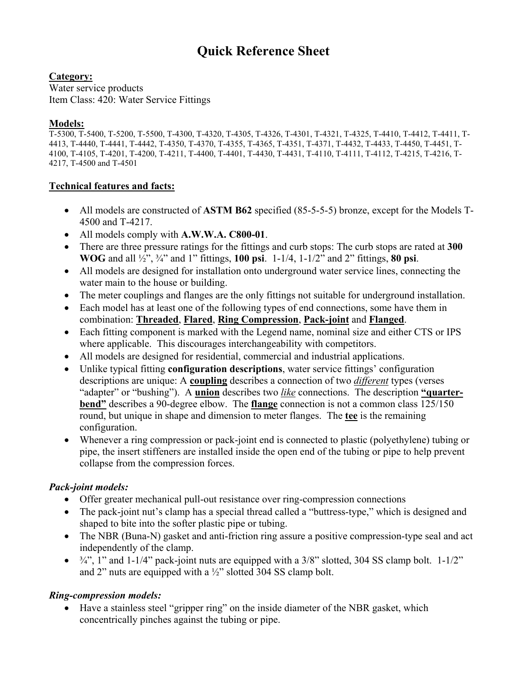# **Quick Reference Sheet**

**Category:**

Water service products Item Class: 420: Water Service Fittings

### **Models:**

T-5300, T-5400, T-5200, T-5500, T-4300, T-4320, T-4305, T-4326, T-4301, T-4321, T-4325, T-4410, T-4412, T-4411, T-4413, T-4440, T-4441, T-4442, T-4350, T-4370, T-4355, T-4365, T-4351, T-4371, T-4432, T-4433, T-4450, T-4451, T-4100, T-4105, T-4201, T-4200, T-4211, T-4400, T-4401, T-4430, T-4431, T-4110, T-4111, T-4112, T-4215, T-4216, T-4217, T-4500 and T-4501

## **Technical features and facts:**

- All models are constructed of **ASTM B62** specified (85-5-5-5) bronze, except for the Models T-4500 and T-4217.
- All models comply with **A.W.W.A. C800-01**.
- There are three pressure ratings for the fittings and curb stops: The curb stops are rated at **300 WOG** and all ½", ¾" and 1" fittings, **100 psi**. 1-1/4, 1-1/2" and 2" fittings, **80 psi**.
- All models are designed for installation onto underground water service lines, connecting the water main to the house or building.
- The meter couplings and flanges are the only fittings not suitable for underground installation.
- Each model has at least one of the following types of end connections, some have them in combination: **Threaded**, **Flared**, **Ring Compression**, **Pack-joint** and **Flanged**.
- Each fitting component is marked with the Legend name, nominal size and either CTS or IPS where applicable. This discourages interchangeability with competitors.
- All models are designed for residential, commercial and industrial applications.
- Unlike typical fitting **configuration descriptions**, water service fittings' configuration descriptions are unique: A **coupling** describes a connection of two *different* types (verses "adapter" or "bushing"). A **union** describes two *like* connections. The description **"quarterbend"** describes a 90-degree elbow. The **flange** connection is not a common class 125/150 round, but unique in shape and dimension to meter flanges. The **tee** is the remaining configuration.
- Whenever a ring compression or pack-joint end is connected to plastic (polyethylene) tubing or pipe, the insert stiffeners are installed inside the open end of the tubing or pipe to help prevent collapse from the compression forces.

# *Pack-joint models:*

- Offer greater mechanical pull-out resistance over ring-compression connections
- The pack-joint nut's clamp has a special thread called a "buttress-type," which is designed and shaped to bite into the softer plastic pipe or tubing.
- The NBR (Buna-N) gasket and anti-friction ring assure a positive compression-type seal and act independently of the clamp.
- $\bullet$   $\frac{3}{4}$ , 1" and 1-1/4" pack-joint nuts are equipped with a 3/8" slotted, 304 SS clamp bolt. 1-1/2" and 2" nuts are equipped with a ½" slotted 304 SS clamp bolt.

# *Ring-compression models:*

• Have a stainless steel "gripper ring" on the inside diameter of the NBR gasket, which concentrically pinches against the tubing or pipe.